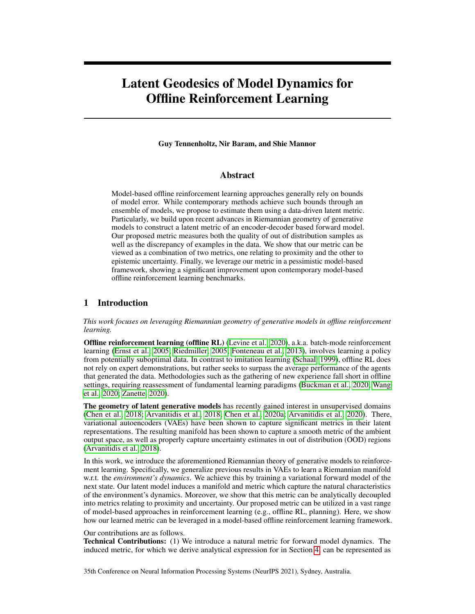# Latent Geodesics of Model Dynamics for Offline Reinforcement Learning

Guy Tennenholtz, Nir Baram, and Shie Mannor

## Abstract

Model-based offline reinforcement learning approaches generally rely on bounds of model error. While contemporary methods achieve such bounds through an ensemble of models, we propose to estimate them using a data-driven latent metric. Particularly, we build upon recent advances in Riemannian geometry of generative models to construct a latent metric of an encoder-decoder based forward model. Our proposed metric measures both the quality of out of distribution samples as well as the discrepancy of examples in the data. We show that our metric can be viewed as a combination of two metrics, one relating to proximity and the other to epistemic uncertainty. Finally, we leverage our metric in a pessimistic model-based framework, showing a significant improvement upon contemporary model-based offline reinforcement learning benchmarks.

## 1 Introduction

*This work focuses on leveraging Riemannian geometry of generative models in offline reinforcement learning.*

Offline reinforcement learning (offline RL) (Levine et al., 2020), a.k.a. batch-mode reinforcement learning (Ernst et al., 2005; Riedmiller, 2005; Fonteneau et al., 2013), involves learning a policy from potentially suboptimal data. In contrast to imitation learning (Schaal, 1999), offline RL does not rely on expert demonstrations, but rather seeks to surpass the average performance of the agents that generated the data. Methodologies such as the gathering of new experience fall short in offline settings, requiring reassessment of fundamental learning paradigms (Buckman et al., 2020; Wang et al., 2020; Zanette, 2020).

The geometry of latent generative models has recently gained interest in unsupervised domains (Chen et al., 2018; Arvanitidis et al., 2018; Chen et al., 2020a; Arvanitidis et al., 2020). There, variational autoencoders (VAEs) have been shown to capture significant metrics in their latent representations. The resulting manifold has been shown to capture a smooth metric of the ambient output space, as well as properly capture uncertainty estimates in out of distribution (OOD) regions (Arvanitidis et al., 2018).

In this work, we introduce the aforementioned Riemannian theory of generative models to reinforcement learning. Specifically, we generalize previous results in VAEs to learn a Riemannian manifold w.r.t. the *environment's dynamics*. We achieve this by training a variational forward model of the next state. Our latent model induces a manifold and metric which capture the natural characteristics of the environment's dynamics. Moreover, we show that this metric can be analytically decoupled into metrics relating to proximity and uncertainty. Our proposed metric can be utilized in a vast range of model-based approaches in reinforcement learning (e.g., offline RL, planning). Here, we show how our learned metric can be leveraged in a model-based offline reinforcement learning framework.

#### Our contributions are as follows.

Technical Contributions: (1) We introduce a natural metric for forward model dynamics. The induced metric, for which we derive analytical expression for in Section 4, can be represented as

35th Conference on Neural Information Processing Systems (NeurIPS 2021), Sydney, Australia.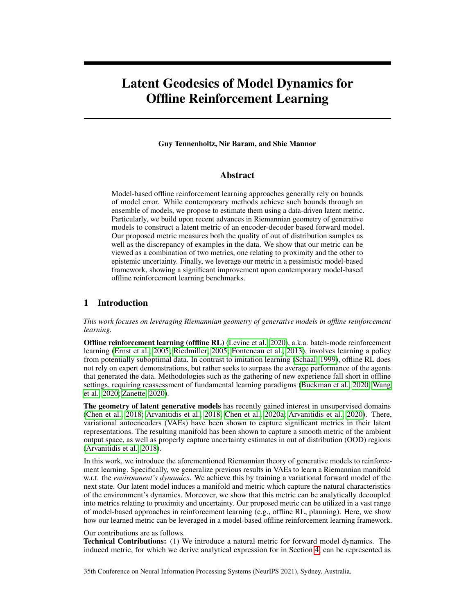a union of two metrics; namely, a metric of proximity and a metric of uncertainty. We depict the geodesics of the induced metric on a grid-like environment, suggesting our latent model captures valuable structural dependencies. (2) We integrate our metric in a model-based offline RL framework, where an agent is penalized with accordance to its distance to the data. As such, we demonstrate improved performance to contemporary offline RL approaches on several benchmarks (Section 6). Broader Impact: Our proposed metric can be leveraged in a vast range of domains. While our work is focused on its application to offline RL, its unique characteristics can be utilized in online control, planning, and predictive analysis, as well as improve explainability of the agent and the environment. Still, using approximate models to make decisions in the real world can bring to negative social impact. Wrongful, unethical, or dangerous decisions may harm individuals affected by such actions.

## 2 Preliminaries

#### 2.1 Offline Reinforcement Learning

We consider the standard Markov Decision Process (MDP) framework (Sutton et al., 1998) defined by the tuple  $(S; A; r; P; \cdot)$ , where S is the state space, A the action space,  $r : S \rightarrow A \not\sqcup [0; 1]$  the reward function,  $P : S \rightarrow \{S \mid [0, 1] \}$  the transition kernel, and  $\{Q \mid [0, 1] \}$  is the discount factor.

In the online setting of reinforcement learning (RL), the environment initiates at some state  $S_0$  0. At any time step the environment is in a state  $s \, 2 \, S$ , an agent takes an action  $a \, 2 \, A$  and receives a reward  $r(s; a)$  from the environment as a result of this action. The environment transitions to state  $s<sup>0</sup>$ according to the transition function  $P(js; a)$ . The goal of online RL is to find a policy (ajs) that maximizes the expected discounted return  $V = E$  $\int_{t=0}^{t} t r(s_t; a_t) ds_0$  0

Unlike the online setting, the offline setup considers a dataset  $D_n = fs_i$ ;  $a_i$ ;  $r_i$ ;  $s_i^0 g_{i=1}^n$  of transitions generated by some unknown agents. The objective of offline RL is to find the best policy in the test environment (i.e., real MDP) given only access to the data generated by the unknown agents.

#### 2.2 Riemannian Manifolds

We define the Riemannian pullback metric, a fundamental component of our proposed method. We refer the reader to Carmo (1992) for further details on Riemannian geometry.

We are interested in studying a smooth surface M with a Riemannian metric  $q$ . A Riemannian metric is a smooth function that assigns a symmetric positive definite matrix to any point in  $M$ . At each point  $Z \, \partial M$  a tangent space  $T_z M$  specifies the pointing direction of vectors "along" the surface.

Definition 1. *Let* M *be a smooth manifold. A Riemannian metric* g *on* M *changes smoothly and defines a real scalar product on the tangent space* TzM *for any* z 2 M *as*

 $g_z(x; y) = h x; y \, i_z = h x; G(z) y i; \quad x; y \, 2 \, T_z M;$ 

where G(z) 2 R<sup>dz dz</sup> is the corresponding metric tensor. (M; g) is called a Riemannian manifold.

The Riemannian metric enables us to easily define geodesic curves. Consider some differentiable mapping : [0;1]  $\sqrt{I}$  M R<sup>d</sup>z, such that (0) =  $z_0$ ; (1) =  $z_1$ . The length of the curve measured on  $\overline{M}$  is given by

$$
L(\ ) = \int_{0}^{Z} \frac{e(t)}{e(t)} G(t) \frac{e(t)}{e(t)} dt
$$
 (1)

The geodesic distance  $d(z_1; z_2)$  between any two points  $z_1; z_2 \nightharpoonup M$  is then the infimum length over all curves for which  $(0) = z_0$ ;  $(1) = z_1$ . That is,

$$
d(z_1; z_2) = \inf L()
$$
 s.t. (0) =  $z_0$ ; (1) =  $z_1$ :

The geodesic distance can be found by solving a system of nonlinear ordinary differential equations (ODEs) defined in the intrinsic coordinates (Carmo, 1992).

**Pullback Metric.** Assume an ambient (observation) space  $X$  and its respective Riemannian manifold  $(M_X, g_X)$ . Learning  $g_X$  can be hard (e.g., learning the distance metric between images). Still, it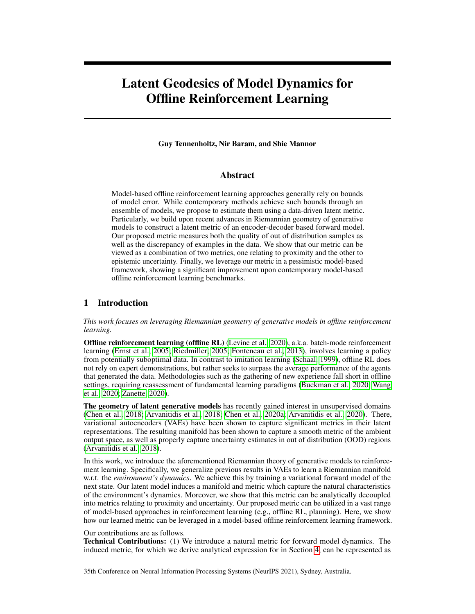Figure 1:A reward-penalized (pessimistic) MDP is constructed from the ofine data. In MOPO, the penalty is constructed using an ensemble of learned transition models. Instead, we propose to estimate the error in model dynamics through a Riemannian metric induced by a variational forward model.

may be captured through a low dimensional submanifold. As such, it is many times convenient to parameterize the surfa $\pmb{\hat{\alpha}}$  by a latent spac $\pmb{\bar{z}} = \mathsf{R}^{d_Z}$  and a smooth function :  $\pmb{Z}$  7! X , where  $\overline{Z}$  is a low dimensional latent embedding space. As learning the manifold an be hard, we turn to learning the immersed low dimensional submanifold (for which the chart maps are trivial, sinceZ =  $R^{d_Z}$  ). Given a curve : [0; 1] 7! M<sub>Z</sub> we have that

$$
\frac{\textcircled{g} \, f(\phantom{g}(\phantom{g}t))}{\textcircled{g} \, t} ; G_{X} \left( f\left(\phantom{g}(\phantom{g}t)\right)\right) \frac{\textcircled{g} \, f(\phantom{g}(\phantom{g}t))}{\textcircled{g} \, t} \quad = \quad \frac{\textcircled{g} \left( t \right)}{\textcircled{g} \, t} ; J_{f}^{\top} \left(\phantom{g}(\phantom{g}t)\right) G_{X} \left( f\left(\phantom{g}(\phantom{g}t)\right)\right) J_{f} \left(\phantom{g}(\phantom{g}t)\right) \frac{\textcircled{g} \left( t \right)}{\textcircled{g} \, t} \hspace{2mm} ;
$$

where the Jacobian matrix (z) =  $\frac{@f}{@z}$  R<sup>d<sub>x</sub> dz</sup> maps tangent vectors inM<sub>Z</sub> to tangent vectors in TM $_\mathrm{\mathsf{X}}$  . The induced metric is thus given by

$$
G_{f}(z) = J_{f}(z)^{T} G_{X}(f(z)) J_{f}(z)
$$
 (2)

The metricG<sub>f</sub> is known as th $\pmb{\textup{w}}$ ullback metriç as it "pulls back" the metri $\mathbf{G}_\mathsf{X}$  on $\mathsf{X}$  back toG<sub>f</sub> via f : Z 7! X . The pullback metric captures the intrinsic geometry of the immersed submanifold while taking into account the ambient space The geodesic distance in ambient space is captured by geodesics in the latent space reducing the problem to learning the latent embedding space and the observation function Indeed, learning the latent space and observation function be achieved through a encoder-decoder framework, such as a VAE (Arvanitidis et al., 2018).

## 3 Background: Model Error in Of ine RL

A key element of model-based RL methods involves estimating a modelis; a). In model-based of ine RL, a pessimistic MDP is constructed through an upper bound on the error of the estimated model. This work builds upon MOPO, a recently proposed model-based ofine RL framework (Yu et al., 2020)). Particularly, we assume access to an approximate  $(\mathbb{S}D\mathbb{P};\hat{r},\hat{P}$ ; ) (e.g., trained by maximizing the likelihood of the data), and de ne a penalized MOPA;  $\kappa; P$ ; ), such that

$$
F(s; a) = \Upsilon(s; a)
$$
 d (P(js; a);  $\hat{P}(js; a)$ ); 8s 2 S; a 2 A;

whered is a given metric (e.g., the total variation distance) and 0. The of ine RL problem is then solved by executing an online algorithm in the reward-penalized (simulated) MDP.

Unfortunately, a $\mathbf{P}$ (js; a) is unknown,d(P(js; a);  $\mathbf{P}$ (js; a)) cannot be calculated. Nevertheless, one can attempt to upper bound the distance, i.e., for  $\sin 8$  A 7! R,

$$
d(P(js;a); \vec{P}(js;a))
$$
 U(s;a); 8s 2 S; a 2 A :

Figure 1 depicts the general framework. A question arises: how should be chosen? In practice, MOPO learns an ensemble of model $\mathtt{s}::; \mathsf{P}_\mathsf{k}$  to measure the upper bou $\mathsf{bd}(\mathsf{s};\mathsf{a})$ . In this work, we propose to use a naturally induced metric of a variational forward model, which we show can introduce a more effective upper bound for of ine RL. In Section 4 we de ne this metric, and nally, we leverage it to upper bound the model error in Section 5.

<sup>1</sup>Pessimism is a key element of ofine RL algorithms (Jin et al., 2020), limiting overestimation of a trained policy due to the distribution shift between the data and the trained policy.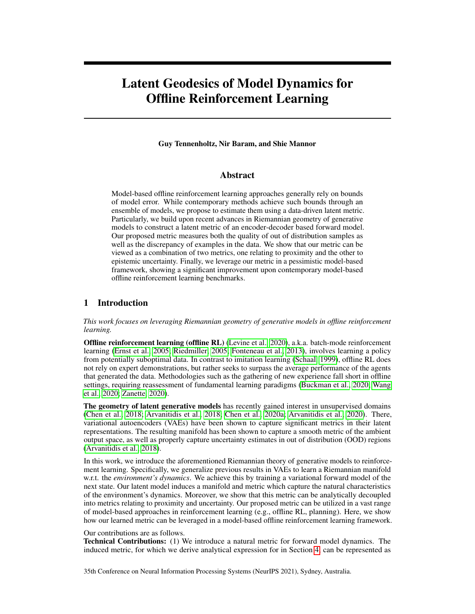## 4 Metrics of Model Dynamics

We propose to measure the error in the model dynanies  $\hat{\mathbf{R}}$  (is; a);  $\hat{\mathbf{P}}$ (is; a)) by embedding the ofine data in a smooth Riemmanian manifold, equipped with a natural metric, enabling us to measure the error of out of distribution samples. Our metric is a generalization of the metric proposed by Arvanitidis et al. (2018) for generative models.

## 4.1 A Pullback Metric of Model Dynamics

We begin by de ning the immersed Riemannian submanifold and our proposed metric. The metric is de ned by a latent space and an observation function, which will be de ned later by our variational forward model.

De nition 2. We de ne a Riemannian submanifold  $z$  ;  $g_Z$  ) by a differential functionf : Z 7! S and latent space such that

$$
d_z(z_1; z_2) = \inf \begin{cases} z_1 & \text{if } z_2 \text{ and } z_1 \\ 0 & \text{if } z_1 \text{ and } z_2 \text{ and } z_1 \text{ and } z_2 \text{ and } z_2 \text{ and } z_1 \text{ and } z_2 \text{ and } z_1 \text{ and } z_2 \text{ and } z_1 \text{ and } z_2 \text{ and } z_1 \text{ and } z_2 \text{ and } z_1 \text{ and } z_2 \text{ and } z_1 \text{ and } z_2 \text{ and } z_1 \text{ and } z_2 \text{ and } z_2 \text{ and } z_2 \text{ and } z_1 \text{ and } z_2 \text{ and } z_2 \text{ and } z_2 \text{ and } z_2 \text{ and } z_2 \text{ and } z_2 \text{ and } z_2 \text{ and } z_2 \text{ and } z_2 \text{ and } z_2 \text{ and } z_2 \text{ and } z_2 \text{ and } z_2 \text{ and } z_2 \text{ and } z_2 \text{ and } z_2 \text{ and } z_2 \text{ and } z_2 \text{ and } z_2 \text{ and } z_2 \text{ and } z_2 \text{ and } z_2 \text{ and } z_2 \text{ and } z_2 \text{ and } z_2 \text{ and } z_2 \text{ and } z_2 \text{ and } z_2 \text{ and } z_2 \text{ and } z_2 \text{ and } z_2 \text{ and } z_2 \text{ and } z_2 \text{ and } z_2 \text{ and } z_2 \text{ and } z_2 \text{ and } z_2 \text{ and } z_2 \text{ and } z_2 \text{ and } z_2 \text{ and } z_2 \text{ and } z_2 \text{ and } z_2 \text{ and } z_2 \text{ and } z_2 \text{ and } z_2 \text{ and } z_2 \text{ and } z_2 \text{ and } z_2 \text{ and } z_2 \text{ and } z_2 \text{ and } z_2 \text{ and } z_2 \text{ and } z_2 \text{ and } z_2 \text{ and } z_2 \text{ and } z_2 \text{ and } z_2 \text{ and } z_2 \text{ and } z_2 \text{ and } z_2 \text{ and } z_2 \text{ and } z_2 \text{ and } z_2 \text{ and } z_2 \text{ and } z_2 \text{ and } z_2 \text{ and } z_2 \
$$

A similar metric has been used in previous work on generative latent models (Chen et al., 2018; Arvanitidis et al., 2018). It states that latent codes are close w.r.t. according to the curve which induces minimal energy in ambient observation space. It is closely related to the pullback metric (see Section 2.2), as shown by the following proposition (see Appendix for proof).

Proposition 1. Let (M  $_Z$ ;  $g_Z$ ) as de ned above. The  $G_f(z) = J_f^T(z)J_f(z)$ , for anyz 2 Z.

Indeed, Proposition 1 shows us that is a pullback metric. Particularl $\bar{z}$  and J<sub>f</sub> de ne the structure of the ambient observation spacen what follows we characterize the submanifold  $P(js; a) = P(jz)$ . We show that the expected pullback metric  $E_{P(f)}$  G<sub>Z</sub> (z) captures notions of proximity and uncertainty and discuss how it can be utilized to K = ⊏G measure distance to the data manifold.

## 4.2 Metric of Proximity and Uncertainty of a Latent Forward Model

We consider modelin $\hat{\mathbf{g}}(\mathbf{s}^0\!\mathbf{s};\mathbf{a})$  using a generative latent model. Speci cally, we consider a latent model which consists of an encoder: S A 7! B (Z) and a decode D : Z 7! B (S), where  $B(X)$  is set of probability measures on the Borel set $X$  of While the encode E learns a latent representation of; a, the decodeD estimates the next stade according to P(js; a). This model corresponds to the decompositiB $n$ (js; a) = D(jE(s; a)), where hereD plays the role of the observation function, andE maps states and actions to the latent spaceuch a model can be trained by maximizing the evidence lower bound (ELBO) over the data. That is, given a posing we modelE ; D as parametric functions and maximize the ELBO

> $max_{i} E_{E}$  (zjs;a) h  $log D$   $(s^0)z)$ i  $D_{KL}$  (E (zjs; a)jj $P(z)$ )

We refer the reader to the appendix for an exhaustive overview of training VAEs by maximum likelihood and the ELBO.

Having trained the latent model over the data, we may consider the Riemannian submanifold induced by its latent space and observation function D. Since D is stochastic, the metric<sub>z</sub> also becomes stochastic, complicating analysis. Instead, Arvanitidis et al. (2018) proposed to use the expected pullback metric  $[G<sub>Z</sub>]$ , showing it is a good approximation of the underlying stochastic metric. Using Proposition 1, we have the following result (see Appendix for proof).

Theorem 1. [Arvanitidis et al. (2018)] Assum $\mathsf{B}(\,$  jz)  $\,$  N  $\,$  ( $\,$  (z);  $\,$  (z)I). Then

h i h i  
\n
$$
E_{D(jz)} G_D(z) = E_{D(jz)} J_D(z)^T J_D(z) = G_{\begin{bmatrix} z \\ -\{z\} \end{bmatrix}} F_{\begin{bmatrix} 2 \\ -\{z\} \end{bmatrix}}; \qquad (3)
$$
\n
$$
\text{proximity} \text{ uncertainty}
$$

whereG  $(z) = J^T(z)J(z)$  andG  $(z) = J^T(z)J(z)$ .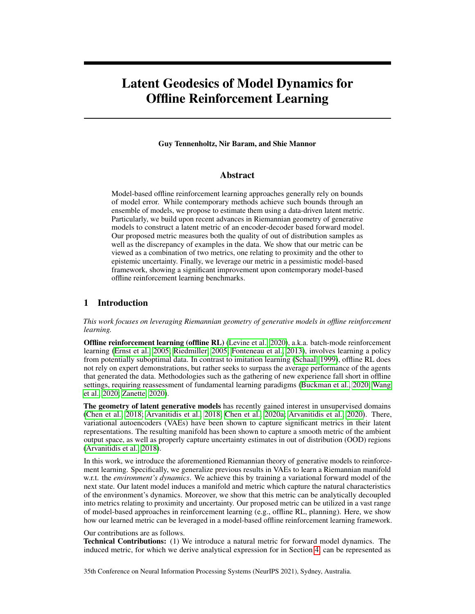Figure 2: Plot depicts the variational latent forward model and its respective pullback metrics. Expressions for the expected pullback metrics are given in Theorems 1 and 2.

Given an embedded latent space the expected metric in Equation (3) gives us a sense of the topology of the latent space manifold induced by The terms  $G = J^T J$  and  $G = J^T J$  are in fact the induced pullback metrics ofand , respectively. As shortest geodesics will tend to follow small values of  $E[G_D]k$ , G will keep away from areas with no latent codes, whereas will remain small in regions of low uncertainty. We therefore recogro zeandG asmetrics of proximity and uncertainty respectively.

A skewed metric. Due to the inherent decoupling between proximity and uncertainty, it may be bene cial to control the curvature of the expected metric by only focusing on one of the metrics. Denoting <sub>prox</sub> 2 [0; 1] as the proximity coef cient, we de ne the skewed pullback metri**c**oas

$$
G_D = \text{prox} G + (1 \text{prox}) G : \tag{4}
$$

The skewed pullback metric will become valueable in Section 6, as we carefully control the tradeoff between proximity and uncertainty in the tested domains.

#### 4.3 Capturing Epistemic and Aleatoric Uncertainty

The previously proposed encoder-decoder model induces a metric which captures both proximity and uncertainty w.r.t. the learned dynamics. However, the decoder varian be does not differentiate between aleatoric uncertainty (relating to the environment dynamics) and epistemic uncertainty (relating to missing data). To bound the validity of out of distribution (OOD) samples, we wish to capture epistemic uncertainty.

The epistemic uncertainty can be captured by methods such as model ensembles or Monte-Carlo dropout (Gal & Ghahramani, 2016). Instead, we apply an additional forward model to our previously proposed variational model. Speci cally, we assume a latent model which consists of an encoder E : S  $\,$  A 7! B  $\,$  (Z), forward modelF : Z 7! B (X) and decodeD : X 7! B (S) such that P(js; a) =  $D(jx)$ , and x F(jE(s; a)). This structure enables us to capture the aleatoric uncertainty under the forward transition model and the epistemic uncertainty using the decoder That is,  $D(z)$  is used as a measure of epistemic uncertainty<sub>F</sub> ( $\alpha$ ) can capture the stochasticity in model dynamics. This forward model is depicted in Figure 2.

Next, we turn to analyze the pullback metric induced by the proposed forward transition model. As bothF andD are stochastic (capturing epistemic and aleatoric uncertainty), the result of Theorem 1 cannot be directly applied to their composition. The following proposition provides an analytical expression for the expected pullback metric of  $F$  (see Appendix for proof).

Theorem 2. Assume F(jz) N ( $_F(z)$ ;  $_F(z)$ ]; D(jx) N ( $_D(x)$ ;  $_D(x)$ ]). Then, the expected pullback metric of the composite funct(nDn F) is given by<br>h i h

$$
E_{P(D F)} G_{D F}(z) = J_{F}^{T}(z) \overline{G}_{D}(z) J_{F}(z) + J_{F}^{T}(z) diag \overline{G}_{D}(z) J_{F}(z);
$$
\nwhere here $\overline{G}_{D}(z) = E_{x F(jz)} J_{D}^{T}(x) J_{D}(x) + J_{D}^{T}(x) J_{D}(x)$ .

Unlike the metric in Equation (3), the composite metric distorts the decoder metric with Jacobian matrices of the forward model statistics. The composite metric takes into account both proximity and uncertainty w.r.t. the ambient space as well as the latent forward model. As before, a skewed version of the metric can be designed, replac $\overline{\mathbb{G}}$  with its skewed version.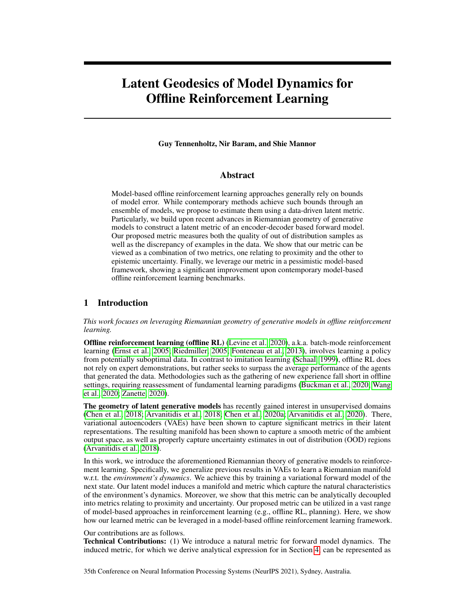Algorithm 1 GELATO: Geometrically Enriched LATent model for Ofine reinforcement learning

- 1: Input: Of ine dataset $D_n$ , RL algorithm
- 2: Train variational latent forward model on dataBat by maximizing ELBO.
- 3: Construct approximate MD(S; A  $; \uparrow, \uparrow, \rightarrow$
- 4: De ne  $F_d(s; a) = \Upsilon(s; a)$   $\frac{1}{K}$  $\overrightarrow{P}$  K  $_{k=1}^{N}$  d<sub>Z</sub> (E (s; a); NN $_{E\, (s; a)}^{(k)}$ ) , with distanced<sub>Z</sub> induced by pullback metricG<sub>D F</sub> (Theorem 2).
- 5: Train RL algorithm over penalized MD $($ B; A;  $F_d$ ;  $\overrightarrow{P}$ ; )

# 5 GELATO: Incorporating the Metric in Of ine RL

Having de ned our metric, we are now ready to leverage it in a model based of ine RL framework (see Figure 1). Speci cally, provided a dataset = f (s<sub>i</sub>, a<sub>i</sub>, r<sub>i</sub>, s<sup>0</sup>) $g_{i=1}^n$  we train the variational latent forward model depicted in Figure 2. The model consists of an eneoder ich maps states and actions to a latent spaze a forward functior F which maps the latent point  $(s; a)$  to a latent point x  $F($  jE(s; a), and nally a decoder which mapsto the next state<sup>0</sup>  $D(jx)$ . The model is trained by maximizing the likelihood of state transitions in the data (a full derivation is given in the appendix). Our latent forward model induces a latent splace a pullback metric $G_{\text{D}}$  = (z) which de ne the distance metrid<sub>Z</sub> (De nition 2).

Algorithm 1 presents GELATO, our proposed approach. In GELATO, we estimate an upper bound, U(s; a), on the model error by measuring the distance of a new sample to the data manifold. That is,

$$
d(P(js;a); \hat{P}(js;a)) \quad U(s;a) = \frac{1}{K} \sum_{k=1}^{K} d_{Z}(E(s;a); NN_{E(s;a)}^{(k)}) \quad ; \tag{5}
$$

where here $\textsf{NN}^{(\mathsf{k})}_{\mathsf{E}\,(\textsf{s};\textsf{a})}$  is the $\mathsf{k}^{\mathsf{th}}$  nearest neighbor  $\textsf{d}\texttt{f}\,(\textsf{s};\textsf{a})$  in  $\mathsf{D}_\mathsf{n}$  w.r.t. the metri $\textsf{d}\textsf{z}$  . Note the sum overK nearest neighbors, allowing for more robust quanti cation of the distance.

We construct the reward-penalized MDP de ned in Section 3 for which the upper bound in acts as a pessimistic regularizer. Finally, we train an RL algorithm over the pessimistic MDP with transition $\hat{P}$ ( js; a) and reward (s; a) U (s; a).

# 6 Experiments

## 6.1 Metric Visualization

To better understand the inherent structure of our metric, we constructed a grid-world environment for visualizing our proposed latent representation and metric.1The 15 environment, as depicted in Figure 3, consists of four rooms, with impassable obstacles in their centers. The agent, residing at some position(x; y) 2 [ 1; 1]<sup>2</sup> in the environment can take one of four actions: up, down, left, or right – moving the agent; 2 or 3 steps (uniformly distributed) in that direction. We collected a dataset of 0000 samples, taking random actions at random initializations of the environment. The ambient state space was represented by the position of the agent – a vector of dimension 2, normalized to values in [1; 1]. Finally, we trained a variational latent model with latent dimension= 2. We used a standard encoder N (  $(s)$ ;  $(s)$ ) and decodes<sup>0</sup> N (  $(z)$ ;  $(z)$ ) represented by neural networks trained end-to-end using the evidence lower bound. We refer the reader to the appendix for an exhaustive description of the training procedure.

The latent space output of our model is depicted by yellow markers in Figure 3a. Indeed, the latent embedding consists of four distinctive clusters, structured in a similar manner as our grid-world environment. Interestingly, the distortion of the latent space accurately depicts an intuitive notion of distance between states. As such, rooms are distinctively separated, with fair distance between each cluster. States of pathways between rooms clearly separate the room clusters, forming a topology with four discernible bottlenecks.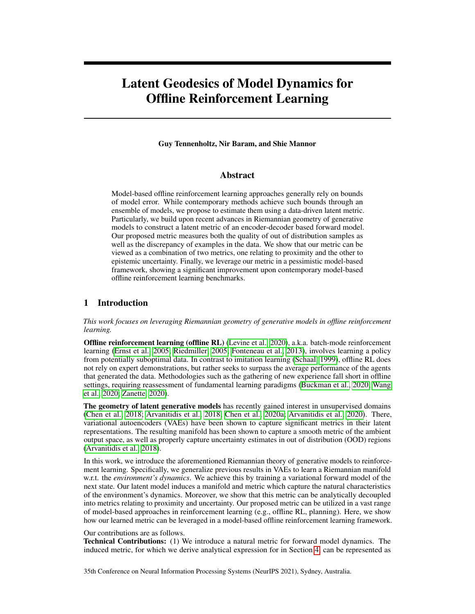(a) p

(b) Latent Geodesic Distance: Latent Euclidean Distance

Figure 3: (a) The latent space (yellow markers) of the grid world environment and the geometric volume measure of the decoder-induced metric (backgrou(td)c) The geodesic distance of the decoder-induced submanifold and the Euclidean distance of latent states, as viewed in ambient space. All distances are calculated w.r.t. the yellow marked statelote: colors in (a), which measure magnitude, are unrelated to colors in (b,c), which measure distance to the yellow marked state.

p<br>In addition to the latent embedding, Figure 3a depicts the geometric volume measuled det(G<sup>D</sup> ) of the trained pullback metric induced  $\mathbb{D}$ . This quantity demonstrates the effective geodesic distances between states in the decoder-induced submanifold. Indeed geodesics between data points to points outside of the data manifold (i.e., outside of the red region), would attain high values as integrals over areas of high magnitude. In contrast, geodesics near the data manifold would attain low values.

Comparison to Euclidean distance. We visualize the decoder-induced geodesic distance and compare it to the latent Euclidean distance in Figures 3b and 3c, respectively. The plots depict the normalized distances of all states to the state marked by a yellow square. Evidently, the geodesic distance captures a better notion of distance in the said environment, correctly exposing the "land distance" in ambient space. As expected, states residing in the bottom-right room are farthest from the source state, as reaching them comprises of passing through at least two bottleneck states. In contrast, the latent Euclidean distance does not properly capture these geodesics, exhibiting a similar distribution of distances in other rooms. Nevertheless, both geodesic and Euclidean distances reveal the intrinsic topological structure of the environment, that of which is not captured by the extrinsic coordinates(x; y) 2 [ 1; 1]<sup>2</sup>. Particularly, the state coordinates y) would wrongly assign short distances to states across impassible walls or obstacles, i.e., measuring the "air distance".

## 6.2 Continuous Control

We performed experiments to analyze GELATO on various continuous control datasets.

Datasets. We used D4RL (Fu et al., 2020) (CC BY 4.0 license) as a benchmark for all of our experiments. We tested GELATO on three Mujoco (Todorov et al., 2012) environments (Hopper, Walker2d, Halfcheetah) on datasets generated by a single policy and a mixture of two policies. Speci-cally, we used datasets generated by a random agent (1M samples), a partially trained agent, i.e, medium agent (1M samples), and a mixture of partially trained and expert agents (2M samples).

Implementation Details. We trained our variational model with latent dimension  $dim(Z) = 32 + dim(A)$ . The latent model was trained for 100k steps by stochastic gradient descent with batch size of 256. We split training into two phases. First, the model was fully trained using a calibrated Gaussian decoder (Rybkin et al., 2020). Speci cally, a maximum-likelihood estimate of the variance was used = MSE(; ^) 2 arg max  $N(\uparrow j$ ;  $\vert^2$  l): Then, in the second stage we t the variance decoder network.

In order to practically estimate the geodesic distance in Algorithm 1, we de ned a parametric curve in latent space and used gradient descent to minimize the curve's energy. The resulting curve and pullback metric were then used to calculate the geodesic distance by a numerical estimate of the curve length (Equation (4)) (See Appendix for an exhaustive overview of the estimation method).

We used FAISS (Johnson et al., 2019) (MIT-license) for ef cient GPU-b**ased**arest neighbors calculation. We set  $K = 20$  neighbors for the penalized reward (Equation (5)). Finally, we used a

 $2$ The geometric volume measure captures the volume of an in nitesimal area in the latent space.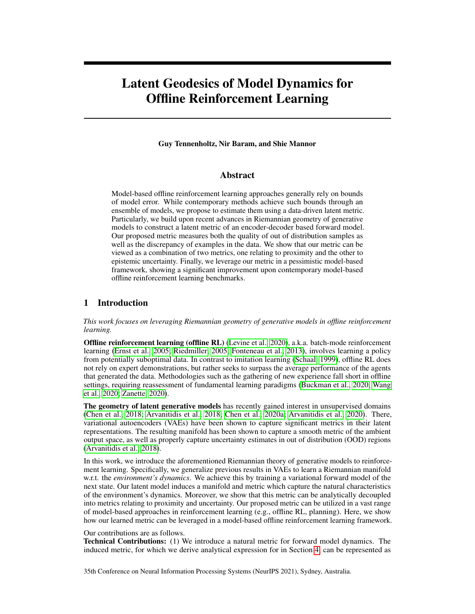|                    |      | Hopper |            |      | Walker <sub>2d</sub> |            |        | Halfcheetah |            |
|--------------------|------|--------|------------|------|----------------------|------------|--------|-------------|------------|
| Method             | Rand | Med    | Med-Expert | Rand | Med                  | Med-Expert | Rand   | Med         | Med-Expert |
| Data Score         | 299  | 1021   | 1849       |      | 498                  | 1062       | $-303$ | 3945        | 8059       |
| <b>GELATO</b>      | 685  | 1676   | 574        | 412  | 1269                 | 1515       | 116    | 5168        | 6449       |
| GELATO-unc         | 481  | 1158   | 879        | 290  | 487                  | 1473       | 23     | 3034        | 7130       |
| <b>GELATO-prox</b> | 240  | 480    | 920        | 158  | 571                  | 1596       | $-28$  | 3300        | 7412       |
| <b>MOPO</b>        | 677  | 1202   | 1063       | 396  | 518                  | 1296       | 4114   | 4974        | 7594       |
| <b>MBPO</b>        | 444  | 457    | 2105       | 251  | 370                  | 222        | 3527   | 3228        | 907        |
| <b>SAC</b>         | 664  | 325    | 1850       | 120  | 27                   | $-2$       | 3502   | $-839$      | $-78$      |
| Imitation          | 615  | 1234   | 3907       | 47   | 193                  | 329        | $-41$  | 4201        | 4164       |

Table 1: Performance of GELATO and its variants in comparison to contemporary model-based methods on D4RL datasets. Scores correspond to the return, averaged over 5 seeds (standard deviation removed due to space constraints and is given in the appendix). Results for MOPO, MBPO, SAC, and imitation are taken from Yu et al. (2020). Mean score of dataset added for reference. Bold scores show an improved score w.r.t other methods.

variant of Soft Learning, as proposed by Yu et al. (2020) as our RL algorithm, trained for 1M steps. Each experiment was run on a single GPU, RTX 2080 (see Appendix for more details).

Proximity vs. Uncertainty. To test GELATO we constructed two variants, trading off proximity and uncertainty through our latent-induced metric. Particularly, we denote by TO-UNC and GELATO-PROX variants which implement the skewed metric (see Equation  $(4)$ ), with  $= 0:1$ and  $_{\text{prox}}$  = 0:9, respectively. We compared GELATO and its variants to contemporary model-based ofine RL approaches; namely, MOPO (Yu et al., 2020) and MBPO (Janner et al., 2019), as well as the standard baselines of SAC (Haarnoja et al., 2018) and imitation (behavioral cloning).

Results for all of the tested domains are shown in Table 1. For the non-skewed version of GELATO (i.e.,  $_{\text{prox}}$  = 0:5) we found performance increase on most domains, and most signi cantly in the medium domain, i.e., partially trained agent. We believe this to be due to the inherent nature of our metric to take into account both proximity and uncertainty, allowing the agent to leverage proximity to the data in areas of high uncertainty. Since the medium dataset contained average behavior, mixing proximity bene-ted the agent's overall performance.

In most of the tested datasets we found an increase in performance for at least one of the GELATO variants. The med-expert datasets showed better performance for the proximity-oriented metric. These suggest exibility of our metric to increase performance when the quality of the dataset is known, a reasonable assumption in many domains. Moreoever, the non-skewed version of GELATO, showed consistency over all datasets, favorably leveraging the strengths of proximity and uncertainty.

## 6.3 RBF Networks.

A question arises as to how to represe $p(z)$ . In general, neural networks may result in a poor measure of uncertainty, due to uncontrolled extrapolations of the neural network to arbitrary regions of the latent space, i.e., areas of little data. However, Arvanitidis et al. (2017) showed that the inverse variance (z) = ( $2$ (z))  $1$  with a positive Radial Basis Function (RBF) network achieves a reliable uncertainty estimate, with well-behaved extrapolations in latent space. Formally the RBF network is de ned by  $(z) =$  $\frac{p}{(z)})$  where  $(z) = W^{T}(z)$ ;  $i(z) = exp \frac{1}{2}i kz$   $c_{i}k_{2}^{2}$ ; W are the positive learned weights of the network, the bandwith, and the centers trained usingmeans over the learned latent representations of the of ine data.

We tested GELATO on D4RL Mujoco benchmarks with an RBF decoder network. Speci cally, we followed a similar training procedure with two training phases. In the rst training phase we trained our variational model with a calibrated decoder as before. In the second training phase we used k-means to cluster our dataset to 8clusters, after which an RBF network was trained for a second phase of50000iterations.

|               |        |    |          | Hopper |            |    |
|---------------|--------|----|----------|--------|------------|----|
| Method        | Random |    | Medium   |        | Med-Expert |    |
| <b>GELATO</b> | 685    | 15 | 1676 223 |        | 574        | 16 |
| GELATO-RBF    | 613    | 24 | 1700     | 319    | 498        | 55 |

Table 2: Performance of GELATO using an RBF decoder compared to standard decoder.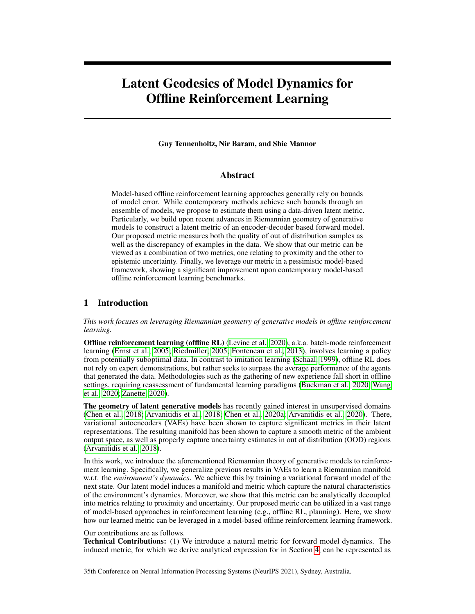Results for GELATO with RBF decoder networks for the Hopper environment are presented in Table 2. We did not nd signi cant improvement in using RBF networks over decoder variance. We believe this is due to the smoothness in ambient space, allowing for well behaved extrapolations of uncertainty. We conjecture RBF networks may show improved performance on higher dimensional problems (e.g., images), yet we leave this for future work, as these may involve utilizing more involved variational models (Vahdat & Kautz, 2020).

# 7 Related Work

Of ine Reinforcement Learning. The eld of of ine RL has recently received much attention as several algorithmic approaches were able to surpass standard off-policy algorithms. Value-based online algorithms do not perform well under highly off-policy batch data (Fujimoto et al., 2019; Kumar et al., 2019; Fu et al., 2019; Fedus et al., 2020; Agarwal et al., 2020), much due to issues with bootstrapping from out-of-distribution (OOD) samples. These issues become more prominent in the ofine setting, as new samples cannot be acquired.

Several works on ofine RL have shown improved performance on standard continuous control benchmarks (Laroche et al., 2019; Kumar et al., 2019; Fujimoto et al., 2019; Chen et al., 2020b; Swazinna et al., 2020; Kidambi et al., 2020; Yu et al., 2020; Kumar et al., 2020). In this work we were speci-cally interested in model-based approaches (Yu et al., 2020; Kidambi et al., 2020), in which the agent is incentivized to remain close to areas of low uncertainty. Our work focused on controlling uncertainty estimation in high dimensional environments. Our methodology utilized recent success on the geometry of deep generative models (Arvanitidis et al., 2018, 2020), proposing an alternative approach to uncertainty estimation.

Representation Learning. Representation learning seeks to nd an appropriate representation of data for performing a machine-learning task (Goodfellow et al., 2016). Variational Auto Encoders (Kingma & Welling, 2013; Rezende et al., 2014) have been a popular representation learning technique, particularly in unsupervised learning regimes (Kingma et al., 2014; Sønderby et al., 2016; Chen et al., 2016; Van Den Oord et al., 2017; Hsu et al., 2017; Serban et al., 2017; Engel et al., 2017; Bojanowski et al., 2018; Ding et al., 2020), though also in supervised learning and reinforcement learning (Hausman et al., 2018; Li et al., 2019; Petangoda et al., 2019; Hafner et al., 2019, 2020). Particularly, variational models have been shown able to derive successful behaviors in high dimensional benchmarks (Hafner et al., 2020).

Various representation techniques in reinforcement learning have also proposed to disentangle representation of both states (Engel & Mannor, 2001; Littman & Sutton, 2002; Stooke et al., 2020; Zhu et al., 2020), and actions (Tennenholtz & Mannor, 2019; Chandak et al., 2019). These allow for the abstraction of states and actions to signi cantly decrease computation requirements, by e.g., decreasing the effective dimensionality of the action space (Tennenholtz & Mannor, 2019). Unlike previous work, GELATO is focused on measuring proximity and uncertainty for the purpose of mitigating the OOD problem and enhancing of ine reinforcement learning performance.

# 8 Discussion and Future Work

This work presented a metric for model dynamics and its application to ofine reinforcement learning. While our metric showed supportive evidence of improvement in model-based ofine RL we note that it was signi cantly slower – comparably, 5 times slower than using the decoder's variance for uncertainty estimation. The apparent slowdown in performance was mostly due to computation of the geodesic distance. Improvement in this area may utilize techniques for ef cient geodesic estimation (Chen et al., 2018, 2019).

We conclude by noting possible future applications of our work. In Section 6.1 we demonstrated the inherent geometry our model had captured, its corresponding metric, and geodesics. Still, in this work we focused speci cally on metrics related to the decoded state. In fact, a similar derivation to Theorem 2 could be applied to other modeled statistics, e.g., Q-values, rewards, future actions, and more. Each distinct statistic would induce its own unique metric w.r.t. its respective probability measure. Particularly, this concept may bene t a vast array of applications in continuous or large state and action spaces.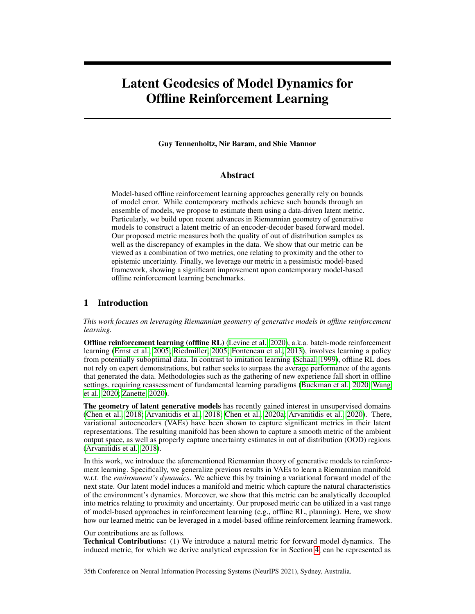## References

- Agarwal, R., Schuurmans, D., and Norouzi, M. An optimistic perspective on ofine reinforcement learning. InInternational Conference on Machine Learning , 104–114. PMLR, 2020.
- Arvanitidis, G., Hansen, L. K., and Hauberg, S. Maximum likelihood estimation of riemannian metrics from euclidean data. International Conference on Geometric Science of Information 38–46. Springer, 2017.
- Arvanitidis, G., Hansen, L. K., and Hauberg, S. Latent space oddity: On the curvature of deep generative models. Inthernational Conference on Learning Representations, ICLR, 2018 2018.
- Arvanitidis, G., Hauberg, S., and Schölkopf, B. Geometrically enriched latent sparces. preprint arXiv:2008.005652020.
- Bojanowski, P., Joulin, A., Lopez-Pas, D., and Szlam, A. Optimizing the latent space of generative networks. InInternational Conference on Machine Learning 0. 600–609, 2018.
- Buckman, J., Gelada, C., and Bellemare, M. G. The importance of pessimism in xed-dataset policy optimization.arXiv preprint arXiv:2009.0679,92020.
- Carmo, M. P. d.Riemannian geometr Birkhäuser, 1992.
- Chandak, Y., Theocharous, G., Kostas, J., Jordan, S., and Thomas, P. Learning action representations for reinforcement learning. Imternational Conference on Machine Learning p. 941–950, 2019.
- Chen, N., Klushyn, A., Kurle, R., Jiang, X., Bayer, J., and Smagt, P. Metrics for deep generative models. InInternational Conference on Arti cial Intelligence and Statisticep. 1540-1550. PMLR, 2018.
- Chen, N., Ferroni, F., Klushyn, A., Paraschos, A., Bayer, J., and van der Smagt, P. Fast approximate geodesics for deep generative models nibernational Conference on Arti cial Neural Networks pp. 554–566. Springer, 2019.
- Chen, N., Klushyn, A., Ferroni, F., Bayer, J., and van der Smagt, P. Learning at latent manifolds with vaes. 2020a.
- Chen, X., Kingma, D. P., Salimans, T., Duan, Y., Dhariwal, P., Schulman, J., Sutskever, I., and Abbeel, P. Variational lossy autoencoder. Xiv preprint arXiv: 1611.0273, 12016.
- Chen, X., Zhou, Z., Wang, Z., Wang, C., Wu, Y., and Ross, K. Bail: Best-action imitation learning for batch deep reinforcement learningdvances in Neural Information Processing Systems 2020b.
- Ding, Z., Xu, Y., Xu, W., Parmar, G., Yang, Y., Welling, M., and Tu, Z. Guided variational autoencoder for disentanglement learning. Proceedings of the IEEE/CVF Conference on Computer Vision and Pattern Recognitionpp. 7920–7929, 2020.
- Dinh, L., Krueger, D., and Bengio, Y. Nice: Non-linear independent components estimation. preprint arXiv:1410.85162014.
- Engel, J., Hoffman, M., and Roberts, A. Latent constraints: Learning to generate conditionally from unconditional generative models: Xiv preprint arXiv: 1711.0577, 2017.
- Engel, Y. and Mannor, S. Learning embedded maps of markov process betweedings of the Eighteenth International Conference on Machine Learning 138–145, 2001.
- Ernst, D., Geurts, P., and Wehenkel, L. Tree-based batch mode reinforcement learnimal of Machine Learning Researc<sup>6</sup>(Apr): 503-556, 2005.
- Fedus, W., Ramachandran, P., Agarwal, R., Bengio, Y., Larochelle, H., Rowland, M., and Dabney, W. Revisiting fundamentals of experience replay. International Conference on Machine Learning pp. 3061–3071. PMLR, 2020.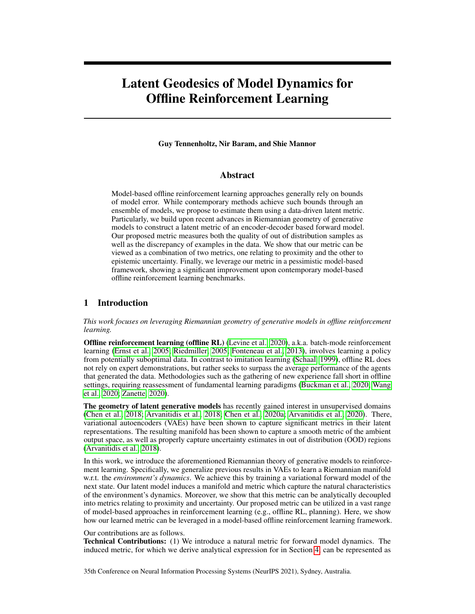- Fonteneau, R., Murphy, S. A., Wehenkel, L., and Ernst, D. Batch mode reinforcement learning based on the synthesis of arti cial trajectories Annals of operations researc 208(1):383-416, 2013.
- Fu, J., Kumar, A., Soh, M., and Levine, S. Diagnosing bottlenecks in deep q-learning algorithms. In International Conference on Machine Learning , 2021–2030, 2019.
- Fu, J., Kumar, A., Nachum, O., Tucker, G., and Levine, S. D4rl: Datasets for deep data-driven reinforcement learningarXiv preprint arXiv:2004.0721, 92020.
- Fujimoto, S., Meger, D., and Precup, D. Off-policy deep reinforcement learning without exploration. In International Conference on Machine Learning . 2052–2062. PMLR, 2019.
- Gal, Y. and Ghahramani, Z. Dropout as a bayesian approximation: Representing model uncertainty in deep learning. International conference on machine learning . 1050–1059, 2016.
- Goodfellow, I., Bengio, Y., Courville, A., and Bengio, Y.Deep learning, volume 1. MIT press Cambridge, 2016.
- Guss, W. H., Houghton, B., Topin, N., Wang, P., Codel, C., Veloso, M., and Salakhutdinov, R. MineRL: A large-scale dataset of Minecraft demonstration wenty-Eighth International Joint Conference on Arti cial Intelligence 2019. URLhttp://minerl.io ...
- Haarnoja, T., Zhou, A., Abbeel, P., and Levine, S. Soft actor-critic: Off-policy maximum entropy deep reinforcement learning with a stochastic actor.International Conference on Machine Learning, pp. 1861–1870. PMLR, 2018.
- Hafner, D., Lillicrap, T., Ba, J., and Norouzi, M. Dream to control: Learning behaviors by latent imagination. InInternational Conference on Learning Representations 9.
- Hafner, D., Lillicrap, T., Norouzi, M., and Ba, J. Mastering atari with discrete world modeliax preprint arXiv:2010.021932020.
- Hausman, K., Springenberg, J. T., Wang, Z., Heess, N., and Riedmiller, M. Learning an embedding space for transferable robot skills. International Conference on Learning Representations 8.
- Hsu, W.-N., Zhang, Y., and Glass, J. Unsupervised learning of disentangled and interpretable representations from sequential dataAb vances in neural information processing systems 1878–1889, 2017.
- Janner, M., Fu, J., Zhang, M., and Levine, S. When to trust your model: Model-based policy optimization.arXiv preprint arXiv:1906.0825,32019.
- Jin, Y., Yang, Z., and Wang, Z. Is pessimism provably ef cient for of ine rlarXiv preprint arXiv:2012.150852020.
- Johnson, J., Douze, M., and Jégou, H. Billion-scale similarity search with  $\text{df}_E$ E Transactions on Big Data, 2019.
- Kalatzis, D., Eklund, D., Arvanitidis, G., and Hauberg, S. Variational autoencoders with riemannian brownian motion priors. InProceedings of the 37th International Conference on Machine Learning (ICML). PMLR, 2020.
- Kidambi, R., Rajeswaran, A., Netrapalli, P., and Joachims, T. Morel: Model-based ofine reinforcement learning arXiv preprint arXiv: 2005.0595,12020.
- Kingma, D. P. and Ba, J. Adam: A method for stochastic optimizationarXiv preprint arXiv:1412.69802014.
- Kingma, D. P. and Welling, M. Auto-encoding variational bayarsXiv preprint arXiv:1312.6114 2013.
- Kingma, D. P., Mohamed, S., Jimenez Rezende, D., and Welling, M. Semi-supervised learning with deep generative modelAdvances in neural information processing systems 3581-3589, 2014.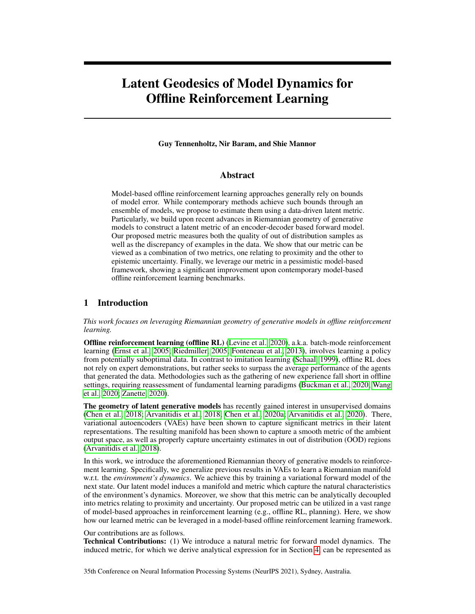- Klushyn, A., Chen, N., Kurle, R., Cseke, B., and van der Smagt, P. Learning hierarchical priors in vaes. InAdvances in Neural Information Processing Systems 2870–2879, 2019.
- Kumar, A., Fu, J., Soh, M., Tucker, G., and Levine, S. Stabilizing off-policy q-learning via bootstrapping error reduction. InAdvances in Neural Information Processing Systemps 11784–11794, 2019.
- Kumar, A., Zhou, A., Tucker, G., and Levine, S. Conservative q-learning for of ine reinforcement learning.arXiv preprint arXiv: 2006.0477, 92020.
- Laroche, R., Trichelair, P., and Des Combes, R. T. Safe policy improvement with baseline bootstrapping. In International Conference on Machine Learning . 3652–3661. PMLR, 2019.
- Levine, S., Kumar, A., Tucker, G., and Fu, J. Of ine reinforcement learning: Tutorial, review, and perspectives on open problem axxiv preprint arXiv:2005.0164, 2020.
- Li, M., Wu, L., Jun, W., and Ammar, H. B. Multi-view reinforcement learning Advances in neural information processing systempp. 1420–1431, 2019.
- Littman, M. L. and Sutton, R. S. Predictive representations of stated wances in neural information processing systemsp. 1555–1561, 2002.
- Petangoda, J. C., Pascual-Diaz, S., Adam, V., Vrancx, P., and Grau-Moya, J. Disentangled skill embeddings for reinforcement learning. Xiv preprint arXiv:1906.092232019.
- Rezende, D. J., Mohamed, S., and Wierstra, D. Stochastic backpropagation and approximate inference in deep generative modelarXiv preprint arXiv:1401.40822014.
- Riedmiller, M. Neural tted q iteration- rst experiences with a data ef cient neural reinforcement learning method. InEuropean Conference on Machine Learning. 317–328. Springer, 2005.
- Rybkin, O., Daniilidis, K., and Levine, S. Simple and effective vae training with calibrated decoders. arXiv preprint arXiv: 2006.1320, 2020.
- Schaal, S. Is imitation learning the route to humanoid robots and in cognitive science 3(6): 233–242, 1999.
- Senge, R., Bösner, S., Dembázki, K., Haasenritter, J., Hirsch, O., Donner-Banzhoff, N., and Hüllermeier, E. Reliable classi cation: Learning classi ers that distinguish aleatoric and epistemic uncertainty.Information Science 255:16-29, 2014.
- Serban, I., Sordoni, A., Lowe, R., Charlin, L., Pineau, J., Courville, A., and Bengio, Y. A hierarchical latent variable encoder-decoder model for generating dialogue Brotreedings of the AAAI Conference on Arti cial Intelligencevolume 31, 2017.
- Sønderby, C. K., Raiko, T., Maaløe, L., Sønderby, S. K., and Winther, O. Ladder variational autoencoders. IAdvances in neural information processing systems 3738–3746, 2016.
- Stooke, A., Lee, K., Abbeel, P., and Laskin, M. Decoupling representation learning from reinforcement learning arXiv preprint arXiv: 2009.0831, 92020.
- Sutton, R. S., Barto, A. G., et alletroduction to reinforcement learning olume 135. MIT press Cambridge, 1998.
- Swazinna, P., Udluft, S., and Runkler, T. Overcoming model bias for robust ofine deep reinforcement learning.arXiv preprint arXiv:2008.0553,32020.
- Tennenholtz, G. and Mannor, S. The natural language of actionatel mational Conference on Machine Learningpp. 6196–6205, 2019.
- Todorov, E., Erez, T., and Tassa, Y. Mujoco: A physics engine for model-based cont&012n IEEE/RSJ International Conference on Intelligent Robots and System\$026–5033. IEEE, 2012.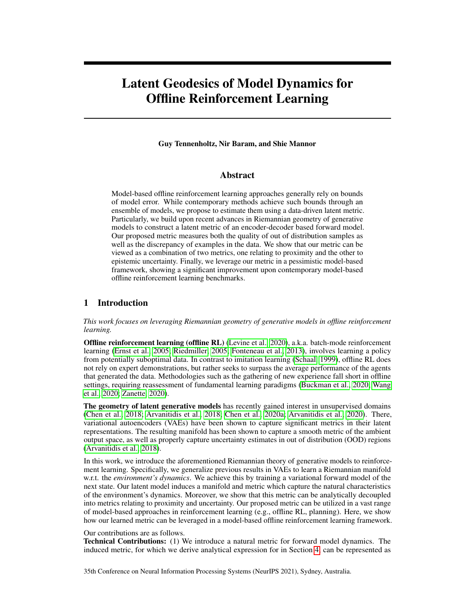- Vahdat, A. and Kautz, J. Nvae: A deep hierarchical variational autoencoat exiv preprint arXiv:2007.038982020.
- Van Den Oord, A., Vinyals, O., et al. Neural discrete representation learning dances in Neural Information Processing Systempp. 6306–6315, 2017.
- Wang, R., Foster, D. P., and Kakade, S. M. What are the statistical limits of ofine rl with linear function approximation arXiv preprint arXiv:2010.118952020.
- Yu, T., Thomas, G., Yu, L., Ermon, S., Zou, J., Levine, S., Finn, C., and Ma, T. Mopo: Model-based of ine policy optimization. arXiv preprint arXiv:2005.132392020.
- Zanette, A. Exponential lower bounds for batch reinforcement learning: Batch rl can be exponentially harder than online rlarXiv preprint arXiv:2012.0800, 52020.
- Zhu, J., Xia, Y., Wu, L., Deng, J., Zhou, W., Qin, T., and Li, H. Masked contrastive representation learning for reinforcement learning. Xiv preprint arXiv: 2010.0747, 02020.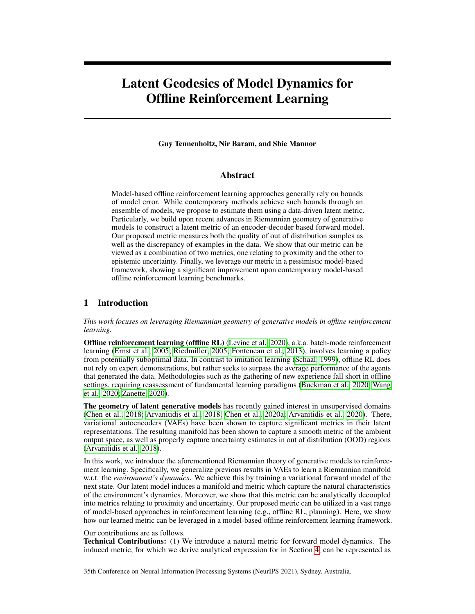# **Checklist**

- 1. For all authors...
	- (a) Do the main claims made in the abstract and introduction accurately reect the paper's contributions and scope? [Yes]
	- (b) Did you describe the limitations of your work? [Yes] computational limitation (discussion section).
	- (c) Did you discuss any potential negative societal impacts of your work? [Yes] broader impact in introduction section
	- (d) Have you read the ethics review guidelines and ensured that your paper conforms to them? [Yes]
- 2. If you are including theoretical results...
	- (a) Did you state the full set of assumptions of all theoretical results? [Yes]
	- (b) Did you include complete proofs of all theoretical results? [Yes]
- 3. If you ran experiments...
	- (a) Did you include the code, data, and instructions needed to reproduce the main experimental results (either in the supplemental material or as a URL)? [Yes]
	- (b) Did you specify all the training details (e.g., data splits, hyperparameters, how they were chosen)? [Yes]
	- (c) Did you report error bars (e.g., with respect to the random seed after running experiments multiple times)? [Yes] standard deviation in Table 1
	- (d) Did you include the total amount of compute and the type of resources used (e.g., type of GPUs, internal cluster, or cloud provider)? [Yes]
- 4. If you are using existing assets (e.g., code, data, models) or curating/releasing new assets...
	- (a) If your work uses existing assets, did you cite the creators? [Yes]
	- (b) Did you mention the license of the assets? [Yes]
	- (c) Did you include any new assets either in the supplemental material or as a URL? [Yes]
	- (d) Did you discuss whether and how consent was obtained from people whose data you're using/curating? [No] FAISS is under MIT license. Our usage of D4RL dataset does not require consent according to CC BY 4.0 license.
	- (e) Did you discuss whether the data you are using/curating contains personally identi able information or offensive content? [No] Data is of standard Mujoco benchmarks
- 5. If you used crowdsourcing or conducted research with human subjects...
	- (a) Did you include the full text of instructions given to participants and screenshots, if applicable? [N/A]
	- (b) Did you describe any potential participant risks, with links to Institutional Review Board (IRB) approvals, if applicable? [N/A]
	- (c) Did you include the estimated hourly wage paid to participants and the total amount spent on participant compensation? [N/A]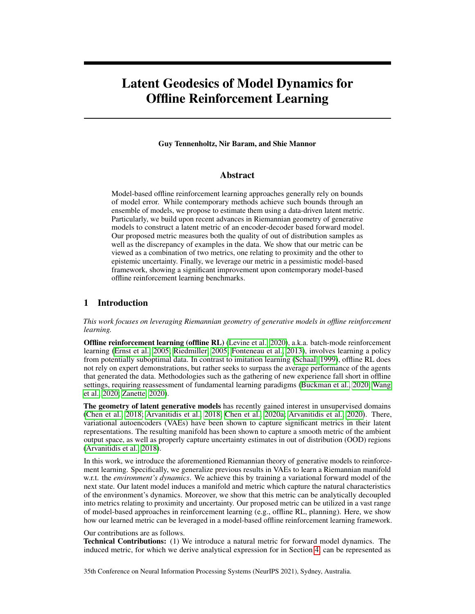|                    |            | Hopper      |              |                 | Walker <sub>2d</sub> |              |              | Halfcheetah |              |
|--------------------|------------|-------------|--------------|-----------------|----------------------|--------------|--------------|-------------|--------------|
| Method             | Random     | Medium      | Med-Expert   | Random          | Medium               | Med-Expert   | Random       | Medium      | Med-Expert   |
| Data Score         | 299<br>200 | 314<br>1021 | 1560<br>1849 | 6               | 807<br>498           | 1062<br>1576 | $-303$<br>79 | 494<br>3945 | 4204<br>8059 |
| <b>GELATO</b>      | 685        | 223         | 574          | 85              | 1269                 | 379          | 116          | 5168        | 2790         |
|                    | 15         | 1676        | 16           | 412             | 549                  | 1515         | 43           | 849         | 6449         |
| GELATO-unc         | 481        | 1158        | 879          | 290             | 289                  | 389          | 23           | 3034        | 3780         |
|                    | 29         | 423         | 153          | 79              | 487                  | 1473         | 35           | 585         | 7130         |
| <b>GELATO-prox</b> | 240        | 480         | 249          | $\overline{35}$ | 571                  | 1596         | -28          | 3300        | 3166         |
|                    | 22         | 15          | 920          | 158             | 326                  | 416          | 31           | 613         | 7412         |
| <b>MOPO</b>        | 677        | 1202        | 193          | 396             | 560                  | 374          | 4114         | 4974        | 4741         |
|                    | 13         | 400         | 1063         | 76              | 518                  | 1296         | 312          | 200         | 7594         |
| <b>MBPO</b>        | 193        | 457         | 2105         | 251             | 370                  | 222          | 3527         | 2832        | 1185         |
|                    | 444        | 106         | 1113         | 235             | 221                  | 99           | 487          | 3228        | 907          |
| <b>SAC</b>         | 664        | 325         | 1850         | 120             | 27                   | $-2$         | 3502         | -839        | -78          |
| Imitation          | 615        | 1234        | 3907         | 47              | 193                  | 329          | $-41$        | 4201        | 4164         |

Table 3: Results of GELATO as presented in Table 1 with added std for each run, averaged over 5 seeds.

Figure 4: A graphical representation of our latent variable mode). The states is embedded via the state embedding function (i.e., approximate posterior) q(js). (b) The action and embedded state pass through an invertible embedding function to produce the state-action embedding . (c,d) The state-action embedding is passed through a reward predictor and latent forward modelP ( $jE_{z;a}$  ) andz<sup>0</sup> P( $jz; a$ ), respectively. (e) The next latent state is decoded back to observation space to generate P( $jz^0$ ). (f) Finally, during training, the target stats<sup>p</sup> is embedded and compared to the KL-divergence term in Equation (7)), preserving the consistency of the latent space

# Appendix

## 9 Variational Latent Model

We begin by describing our variational forward model. The model, based on an encoder, latent forward function, and decoder framework assumes the underlying dynamics and reward are governed by a state-embedded latent space  $R^{d_Z}$  . The probability of a trajectory = (s<sub>0</sub>; a<sub>0</sub>; r<sub>0</sub>; : : : ; s<sub>h</sub> ; a<sub>n</sub> ; r<sub>h</sub>) is given by

$$
P( ) = \sum_{z_0, \ldots, z_{n}} P(z_0) \sum_{i=0}^{n} P(s_i \mid z_i) \left( a_i \mid s_i \right) P(r_i \mid E_{z_i \mid a_i}) \sum_{j=1}^{n} P(z_j \mid E_{z_{j-1} \mid a_{j-1}}) dz_0 \ldots dz_h; \quad (6)
$$

where $E : Z \land Z$ !  $E \land R$  $d_E$  is a deterministic, invertible embedding function which maps pairs (z; a) to a state-action-embedded latent space  $E_{z; a}$  is thus a suf cient statistic of z; a). The proposed graphical model is depicted in Figure 4. We note that an extension to the partially observable setting replace $s_t$  with  $h_t = (s_0; a_0; \dots; s_t)$ , a suf cient statistic of the unknown state.

Maximizing the log-likelihoodog  $P( )$  is hard due to intractability of the integral in Equation (6). We therefore introduce the approximate poster (aris) and maximize the evidence lower bound.

To clear notations we de n $E_{z_{-1};a_{-1}}$  = 0, so that we can rewrite the above expression as

$$
P\left(s_{0};a_{0};r_{0};\ldots;s_{h};a_{h};r_{h}\right)=\sum_{z_{0};\ldots;z_{h}}\underset{i=0}{\uparrow}P\left(s_{i}\,jz_{i}\right)\,\,\left(a_{i}\,j s_{i}\right)P\left(r_{i}\,jE_{z_{i}\,;a_{i}}\right)P\left(z_{j}\,jE_{z_{-1};a_{-1}}\right)
$$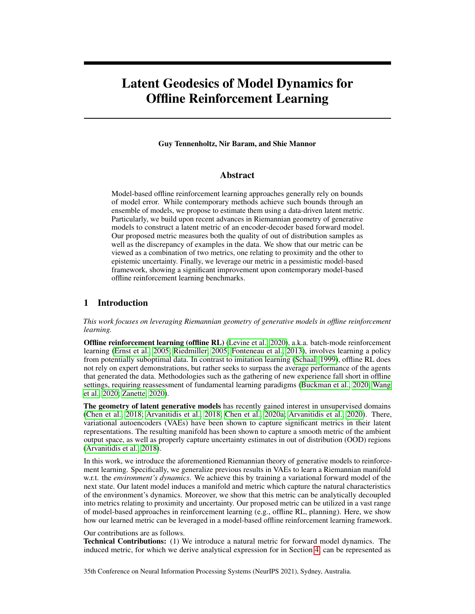Introducingq(z<sub>i</sub> js<sub>i</sub>) we can write

$$
\begin{array}{llll} & \mathsf{Z} & \text{Yh} & \underbrace{q(z_{i})s_{i}}_{z_{0};...,z_{h}} \xrightarrow[i=0]{} & \mathsf{P}(s_{i}|z_{i}) & (a_{i}|s_{i})\mathsf{P}(r_{i}|E_{z_{i};a_{i}})\mathsf{P}(z_{j}|E_{z_{i};a_{i}}) \\ & \mathsf{Z} & \text{Yh} & \text{A} & \text{A} & \text{B} \\ & & \mathsf{Q}(z_{i}|s_{i}) & \mathsf{Xh} & \text{B} & \text{B} & \text{B} & \text{B} & \text{B} & \text{B} \\ & & \mathsf{Q}(z_{i}|s_{i}) & \mathsf{Q}(z_{i}|s_{i}) & (a_{i}|s_{i})\mathsf{P}(r_{i}|E_{z_{i};a_{i}})\mathsf{P}(z_{j}|E_{z_{i};a_{i}}) \\ & & \mathsf{Xh} & \text{B} & \text{C} \\ & & \mathsf{Xh} & \text{B} & \text{C} \\ & & \mathsf{Xh} & \text{B} & \text{C} \\ & & \mathsf{Xh} & \text{B} & \text{C} \\ & & \mathsf{Xh} & \text{B} & \text{C} \\ & & \mathsf{Xh} & \text{B} & \text{C} \\ & & \mathsf{Xh} & \text{B} & \text{C} \\ & & \mathsf{Xh} & \text{B} & \text{C} \\ & & \mathsf{Xh} & \text{C} & \text{A} & \text{B} & \text{B} \\ & & \mathsf{Xh} & \text{B} & \text{C} \\ & & \mathsf{Xh} & \text{B} & \text{C} \\ & & \mathsf{Xh} & \text{B} & \text{C} \\ & & \mathsf{Xh} & \text{B} & \text{C} \\ & & \mathsf{Xh} & \text{B} & \text{C} \\ & & \mathsf{Xh} & \text{C} & \text{A} & \text{B} & \text{A} & \text{B} \\ & & \mathsf{Xh} & \text{B} & \text{B} & \text{B} & \text{B} \\ & & \mathsf{Xh} & \text{B} & \text{B} & \text{B} & \text{B} \\ & & \mathsf{Xh} & \text{B} & \text{B} & \text{B} & \text{B} &
$$

Hence,

$$
x^{h}
$$
\n
$$
E_{z_{i}} \t n_{(z_{i}j s_{i})} \log(P(s_{i} j z_{i}) (a_{i} j s_{i}) P(r_{i} j E_{z_{i}; a_{i}}))
$$
\n
$$
x^{1}
$$
\n
$$
E_{z_{i}} \t n_{(z_{i}j s_{i})} D_{KL} (q(z_{i+1} j s_{i+1}) j j P(z_{i+1} j E_{z_{i}; a_{i}}))
$$
\n
$$
E_{KL} (q(z_{0} j s_{0}) j j P(z_{0})).
$$
\n(7)

The distribution parameters of the approximate posterique is), the likelihoods P(sjz); (ajs); P(rjE<sub>z;a</sub>), and the latent forward mode  $(z^0)E_{z;a}$ ) are represented by neural networks. The invertible embedding functions represented by an invertible neural network, e.g., af ne coupling, commonly used for normalizing ows (Dinh et al., 2014). Though various latent distributions have been proposed (Klushyn et al., 2019; Kalatzis et al., 2020), we found Gaussian parametric distributions to suf ce for all of our model's functions. Particularly, we used two outputs for every distribution, representing the expectatioand variance . All networks were trained end-to-end to maximize the evidence lower bound in Equation (7).

Our latent variable model is designed to capture both the epistemic and aleatoric uncertainty (Senge et al., 2014). The variance output of the decoder captures epistemic uncertainty , while stochasticity of the latent forward mode ( $z^{0}E_{z;a}$ ) captures aleatoric uncertainty. For the purpose of of ine RL, we will focus on the epistemic uncertainty of our model.

We tested the quality of our variational model on datasets of two tasks in Minecraft (Guss et al., 2019); namely, a navigation task (150k examples) and a tree chopping task (250k examples), both generated by human players. The variational model was trained only on the navigation task. We

Figure 5: TSNE projection of latent space for navigation dataset (blue) and tree chopping dataset (red) in Minecraft (Guss et al., 2019). Darker colors correspond to higher decoder variance.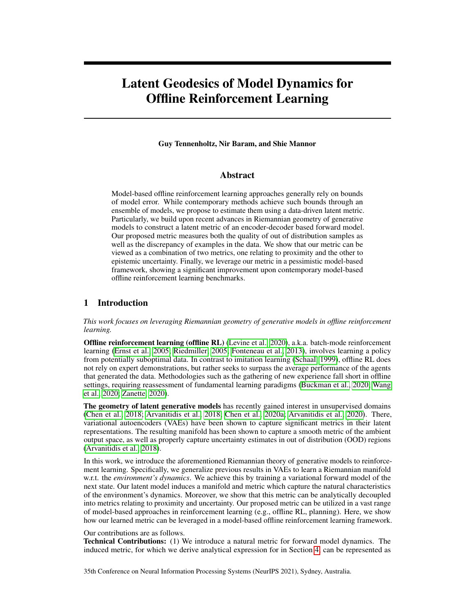

Figure 6: Latent model architecture (does not depict reward MLP).

embedded the data from both datasets using our trained model, and measured the decoder variance for all samples. Figure 5 depicts a TSNE projection of the latent space  $Z$ , coloring in blue the navigation task and in red the tree chopping task. Light colors correspond to low variance (i.e., sharp images), whereas dark colors correspond to large variance (i.e. OOD samples). We found that our variational model was able to properly distinguish between the two tasks, with some overlap due to similarity in state space features. Additionally, we noticed a clear transition in decoding variance as samples farther away from the trained latent data attained larger variance, suggesting our variational model was properly able to distinguish OOD samples.

We refer the reader to the appendix for further analysis and approaches of uncertainty quantification in variational models. In our experiments, we found that the standard decoder variance sufficed for all of the tested domains.

## 10 Specific Implementation Details

As a preprocessing step rewards were normalized to values between  $\begin{bmatrix} 1 \\ 1 \end{bmatrix}$ . We trained our variational model with latent dimensions dim( $Z$ ) = 32 and dim( $E$ ) = dim( $Z$ ) + dim( $A$ ). All domains were trained with the same hyperparameters. Specifically, we used a 2-layer Multi Layer Perceptron (MLP) to encode Z, after which a 2-layer Affine Coupling (AC) (Dinh et al., 2014) was used to encode  $\mathcal{E}$ . We also used a 2-layer MLP for the forward, reward, and decoder models. All layers contained 256 hidden layers.

The latent model was trained in two separate phases for 100k and 50k steps each by stochastic gradient descent and the ADAM optimizer (Kingma & Ba, 2014). First, the model was fully trained using a calibrated Gaussian decoder (Rybkin et al., 2020). Specifically, a maximum-likelihood estimate of the variance was used  $= \text{MSE}( \div \wedge) 2 \text{ arg max} \wedge (\wedge j \div \wedge^2 I)$ . Finally, in the second stage we fit the variance decoder network. We found this process of to greatly improve convergence speed and accuracy, and mitigate posterior collapse. We used a minimum variance of 0:01 for all of our stochastic models.

To further stabilize training we used a momentum encoder. Specifically we updated a target encoder as a slowly moving average of the weights from the learned encoder as

$$
(1) +
$$

Hyperparameters for our variational model are summarized in Table 4. The latent architecture is visualized in Figure 6.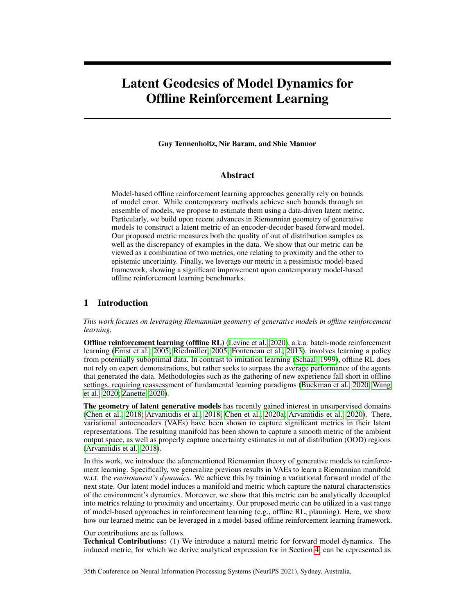| <b>Parameter</b>          | Value         | <b>Parameter</b>              | Value      |
|---------------------------|---------------|-------------------------------|------------|
| dim(Z)                    | 32            | <b>LEARNING RATE</b>          | 1∩ →       |
| dim(E)                    | $32 + dim(A)$ | <b>BATCH SIZE</b>             | 128        |
| <b>ENCODER MLP HIDDEN</b> | 256:256       | <b>TARGET UPDATE</b>          | $\rm 0.01$ |
| <b>FORWARD MLP HIDDEN</b> | 256:256       | <b>TARGET UPDATE INTERVAL</b> |            |
| <b>DECODER MLP HIDDEN</b> | 256:256       | PHASE 1 UPDATES               | 100000     |
| <b>REWARD MLP HIDDEN</b>  | 256:256       | PHASE 2 UPDATES               | 50000      |

Table 4: Hyper parameters for variational model

<span id="page-17-1"></span>

Figure 7: Illustration of geodesic curve optimization in Algorithm [2.](#page-18-0)

#### 10.1 Geodesic Distance Estimation

In order to practically estimate the geodesic distance between two points  $e_1$ ;  $e_2$  2 E we defined a parametric curve in latent space and used gradient descent to minimize the curve's energy<sup>[3](#page-17-0)</sup>. The resulting curve and pullback metric were then used to calculate the geodesic distance by a numerical estimate of the curve length (Equation (4)).

Pseudo code for Geodesic Distance Estimation is shown in Algorithm [2.](#page-18-0) Our curve was modeled as a cubic spline with 8 coefficients. We used SGD (momentum 0:99) to optimize the curve energy over 20 gradient iterations with a grid of 10 points and a learning rate of  $10^{-3}$ . An illustration of the convergence of such a curve is illustrated in Figure [7](#page-17-1)

#### 10.2 RL algorithm

Our learning algorithm is based on the Soft Learning framework proposed in Algorithm 2 of Yu et al. (2020). Pseudo code is shown in Algorithm [3.](#page-18-1) Specifically we used two replay buffers  $R_{\text{model}}$ ;  $R_{\text{data}}$ , where  $jR_{\text{model}} = 50000$  and  $R_{\text{data}}$  contained the full offline dataset. In every epoch an initial state  $s_0$  was sampled from the offline dataset and embedded using our latent model to generate  $z_0 \nvert 2 \nvert Z$ . During rollouts of , embeddings  $E_{z/a}$  2 E were then generated from z and used to (1) sample next latent state  $Z^{\ell}$ , (2) sample estimated rewards r, and (3) compute distances to  $K = 20$  nearest neighbors in embedded the dataset.

We used Algorithm [2](#page-18-0) to compute the geodesic distances, and FAISS (Johnson et al., 2019) for efficient nearest neighbor computation on GPUs. To stabilize learning, we normalized the penalty  $\frac{1}{K}$   $\frac{K}{k-1}$  d<sub>k</sub> according to the maximum penalty, ensuring penalty lies in [0; 1] (recall that the latent reward predictor was trained over normalized rewards in  $[-1,1]$ ). For the non-skewed version of

<span id="page-17-0"></span><sup>3</sup>Other methods for computing the geodesic distance include solving a system of ODEs (Arvanitidis et al., 2018), using graph based geodesics (Chen et al., 2019), or using neural networks (Chen et al., 2018).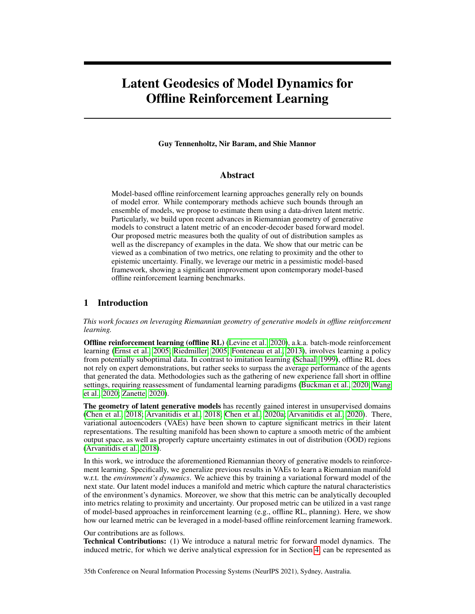<span id="page-18-0"></span>Algorithm 2 Geodesic Distance Estimation

**Input:** forward latent F, decoder D, learning rate, number of iterations T, grid size  $n$ , eval points  $e_0$ ;  $e_1$ **Initialize:** parametric curve :  $(0) = e_0$ ;  $(1) = e_1$ for  $t = 1$  to  $\overline{\phi}$  do L ()  $\begin{bmatrix} n \\ p \neq 1 \end{bmatrix}$   $D\left(\begin{bmatrix} F(\begin{bmatrix} \frac{i}{p} \end{bmatrix}) \end{bmatrix}\right)$   $D\left(\begin{bmatrix} F(\begin{bmatrix} \frac{i-1}{p} \end{bmatrix}) \end{bmatrix}\right)$  $L\left(\begin{array}{cc} \cdot & \uparrow \cdot \\ \cdot & \downarrow \cdot \end{array} \right) = D\left(\begin{array}{cc} F\left(\begin{array}{c} \cdot & \frac{1}{p} \\ \frac{1}{p} \end{array}\right)\right) = D\left(\begin{array}{cc} F\left(\begin{array}{c} \cdot & \frac{1}{p} \\ \frac{1}{p} \end{array}\right)\right) \end{array}\right)$  $L() L() + L()$  $r L()$ end for  $G_{D} F = J_{F}^{T} \overline{G}_{D} J_{F} + J_{F}^{T}$  diag  $\overline{G}_{D} J_{F}$  $8i$ ;  $i \left(\frac{i}{p}\right) \left(\frac{i-1}{p}\right)$  $d(e_0; e_1)$   $\begin{array}{cc} n & e \\ i=1 & \frac{e}{e t} \\ n \end{array}$  $\int_{0}^{T} G_{D} F(\alpha \left(\frac{i}{n}\right)) \frac{\mathcal{Q}}{\mathcal{Q}t}$ i **Return:**  $d(e_0; e_1)$ 

<span id="page-18-1"></span>Algorithm 3 GELATO with Soft Learning

**Input:** Reward penalty coefficient , rollout horizon  $h$ , rollout batch size  $h$ , training epochs  $T$ , number of neighbors  $K$ . Train variational latent forward model on dataset  $D$  by maximizing ELBO (Equation (7)) Construct embedded dataset  $D_{\text{embed}} = f E_i \mathcal{G}_{i=1}^T$  using latent model to initialize KNN. Initialize policy and empty replay buffer  $R_{\text{model}}$ for epoch =  $1$  to  $7$  do for  $i = 1$  to b (in parallel) do Sample state  $s_1$  from  $D$  for the initialization of the rollout and embed using latent model to produce  $Z_1$ . for  $j = 1$  to  $h$  do Sample an action  $a_j$  ( $jz_j$ ). Embed  $(z_j/a_j)$  !  $E_{z_j/a_j}$  using latent model Sample  $z_{j+1}$  from latent forward model  $F(E_{z_j; a_j})$ . Sample  $r_j$  from latent reward model  $R(E_{z_j; a_j})$ . Use Algorithm [2](#page-18-0) to compute K nearest neighbors  $\bigcap_{i=1}^{n} \bigcup_{i=1}^{N(K)}$  $k=1$  and their distances  $fd_k g_{k=1}^N$  to  $E_{z_j; a_j}$ . Compute  $F_j = r_j$   $\frac{1}{K} \int_{k=1}^{K} d_k$ Add sample  $(z_i; a_i; F_i; z_{i+1})$  to  $R_{model}$ . end for end for Drawing samples from  $R_{data}$  [  $R_{model}$ , use SAC to update . end for

GELATO, we used  $= 1$  as our reward penalty coefficient and  $= 2$  for the skewed versions. We used rollout horizon of  $h = 5$ , and did not notice significant performance improvement for different values of h.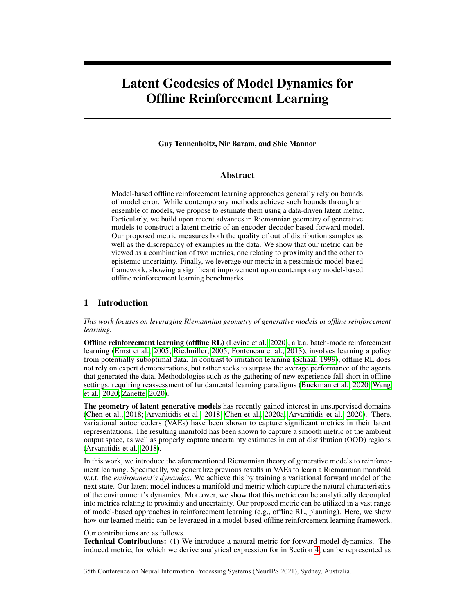## 11 Missing Proofs

#### 11.1 Proof of Proposition 1

For any curve , we have that

$$
\frac{d}{dt} = \int_{0}^{\infty} \frac{df(t)}{dt} dt = \int_{0}^{\infty} \frac{df(t)}{dt} \frac{df(t)}{dt} dt
$$
\n
$$
= \int_{0}^{\infty} \frac{df(t)}{dt} dt = \int_{0}^{\infty} \frac{df(t)}{dt} dt
$$
\n
$$
= \int_{0}^{\infty} \frac{df(t)}{dt} \frac{df(t)}{dt} dt = \int_{0}^{\infty} \frac{df(t)}{dt} \frac{df(t)}{dt} dt
$$
\n
$$
= \int_{0}^{\infty} \frac{df(t)}{dt} \frac{df(t)}{dt} dt
$$
\n
$$
= \int_{0}^{\infty} \frac{df(t)}{dt} \frac{df(t)}{dt} dt
$$

This completes the proof.

#### 11.2 Proof of Theorems 1 and 2

We begin by restating the theorems.

**Theorem 1.** [Arvanitidis et al. (2018)] Assume 
$$
D(jz)
$$
  $\begin{array}{ccc} N( (z); (z)I). \text{ Then} \\ \uparrow & \uparrow \\ E_{D(jz)} \ G_D(z) = E_{D(jz)} \ J_D(z)^T J_D(z) = \begin{array}{ccc} G_{2z} & G_{2z} \\ G_{2z} & G_{2z} \end{array} \end{array}$  (3)

*where*  $G(z) = J^T(z)J(z)$  *and*  $G(z) = J^T(z)J(z)$ *.* 

**Theorem 2.** Assume  $F(jz)$   $\wedge$   $\vee$   $F(z)$ ;  $F(z)$   $\wedge$   $D(jx)$   $\wedge$   $\wedge$   $D(x)$ ;  $D(x)$   $\wedge$   $D(x)$   $\wedge$   $D(x)$   $\wedge$   $D(x)$ *pected pullback metric of the composite function* (D F) *is given by*

$$
E_{P(D|F)} G_{D|F}(z) = J_{F}^{T}(z) G_{D}(z) J_{F}(z) + J_{F}^{T}(z) diag G_{D}(z) J_{F}(z);
$$
  
here,  $G_{D}(z) = E_{X} F(z) J_{D}^{T}(x) J_{D}(x) + J_{D}^{T}(x) J_{D}(x)$ .

Notice that Theorem 1 is a special case of Theorem 2 with  $F$  being the trivial identity function. Additionally, a complete proof of Theorem 1 can be found in Arvanitidis et al. (2018). We turn to prove Theorem 2.

We begin by proving the following auxilary lemma.

 $\overline{22}$ 

<span id="page-19-0"></span>**Lemma 1.** Let  $N(0; I_K)$ ,  $f: \mathbb{R}^d$   $\mathbb{F} \mathbb{R}^K$ ,  $A \supseteq \mathbb{R}^{K}$  K, Denote  $S_i = diag \bigoplus_{\overline{e_{Z_i}}} \frac{ef^2}{eg_{Z_i}}$  $\frac{\varrho f^2}{\varrho_{Z_i}}$ ;  $\ldots$ ;  $\frac{\varrho f^{K}}{\varrho_{Z_i}}$ *for* 1 i d *and*

$$
B = [S_1 ; S_2 ; \dots ; S_d]_{K-d}
$$

*Then*  $E$   $B^TAB = J_f^Tdiag(A)J_f$ .

*Proof.* We have that

 $where$ 

$$
E BTAB = E \begin{bmatrix} 22 & 7 & 3 & 3 \\ 66 & 7 & 57 & 7 \\ 88 & 7 & 7 & 7 \\ 1 & 5 & 7 & 7 \\ 1 & 5 & 7 & 7 \\ 1 & 5 & 7 & 7 \\ 1 & 5 & 7 & 7 \\ 2 & 1 & 5 & 7 \\ 2 & 1 & 5 & 7 \\ 2 & 1 & 5 & 7 \\ 2 & 1 & 5 & 7 \\ 2 & 1 & 5 & 7 \\ 2 & 1 & 7 & 7 \\ 2 & 1 & 7 & 7 \\ 2 & 1 & 7 & 7 \\ 2 & 1 & 7 & 7 \\ 2 & 1 & 7 & 7 \\ 2 & 1 & 7 & 7 \\ 2 & 1 & 7 & 7 \\ 2 & 1 & 7 & 7 \\ 2 & 1 & 7 & 7 \\ 2 & 1 & 7 & 7 \\ 2 & 1 & 7 & 7 \\ 2 & 1 & 7 & 7 \\ 2 & 1 & 7 & 7 \\ 2 & 1 & 7 & 7 \\ 2 & 1 & 7 & 7 \\ 2 & 1 & 7 & 7 \\ 2 & 1 & 7 & 7 \\ 2 & 1 & 7 & 7 \\ 2 & 1 & 7 & 7 \\ 2 & 1 & 7 & 7 \\ 2 & 1 & 7 & 7 \\ 2 & 1 & 7 & 7 \\ 2 & 1 & 7 & 7 \\ 2 & 1 & 7 & 7 \\ 2 & 1 & 7 & 7 \\ 2 & 1 & 7 & 7 \\ 2 & 1 & 7 & 7 \\ 2 & 1 & 7 & 7 \\ 2 & 1 & 7 & 7 \\ 2 & 1 & 7 & 7 \\ 2 & 1 & 7 & 7 \\ 2 & 1 & 7 & 7 \\ 2 & 1 & 7 & 7 \\ 2 & 1 & 7 & 7 \\ 2 & 1 & 7 & 7 \\ 2 & 1 & 7 & 7 \\ 2 & 1 & 7 & 7 \\ 2 & 1 & 7 & 7 \\ 2 & 1 & 7 & 7 \\ 2 & 1 & 7 & 7 \\ 2 & 1 & 7 & 7 \\ 2 & 1 & 7 & 7 \\ 2 & 1 & 7 & 7 \\ 2 & 1 & 7 & 7 \\ 2 & 1 & 7 & 7 \\ 2 & 1 & 7 & 7 \\ 2 & 1 & 7 & 7 \\ 2 & 1 & 7 & 7 \\ 2 & 1 & 7 & 7 \\ 2 & 1 &
$$